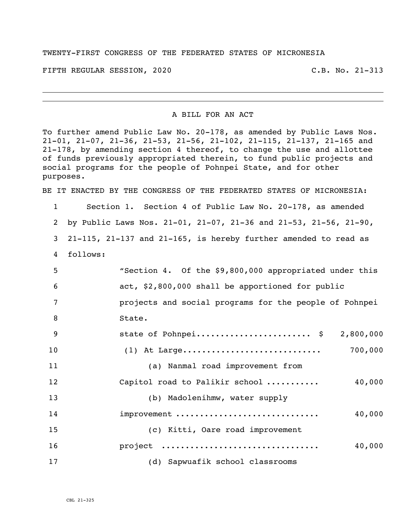## TWENTY-FIRST CONGRESS OF THE FEDERATED STATES OF MICRONESIA

FIFTH REGULAR SESSION, 2020 C.B. No. 21-313

## A BILL FOR AN ACT

To further amend Public Law No. 20-178, as amended by Public Laws Nos. 21-01, 21-07, 21-36, 21-53, 21-56, 21-102, 21-115, 21-137, 21-165 and 21-178, by amending section 4 thereof, to change the use and allottee of funds previously appropriated therein, to fund public projects and social programs for the people of Pohnpei State, and for other purposes.

BE IT ENACTED BY THE CONGRESS OF THE FEDERATED STATES OF MICRONESIA:

 Section 1. Section 4 of Public Law No. 20-178, as amended by Public Laws Nos. 21-01, 21-07, 21-36 and 21-53, 21-56, 21-90, 21-115, 21-137 and 21-165, is hereby further amended to read as 4 follows: "Section 4. Of the \$9,800,000 appropriated under this act, \$2,800,000 shall be apportioned for public projects and social programs for the people of Pohnpei 8 State. state of Pohnpei........................ \$ 2,800,000 (1) At Large............................. 700,000 (a) Nanmal road improvement from 12 Capitol road to Palikir school ........... 40,000 (b) Madolenihmw, water supply improvement .............................. 40,000 (c) Kitti, Oare road improvement project ................................. 40,000 (d) Sapwuafik school classrooms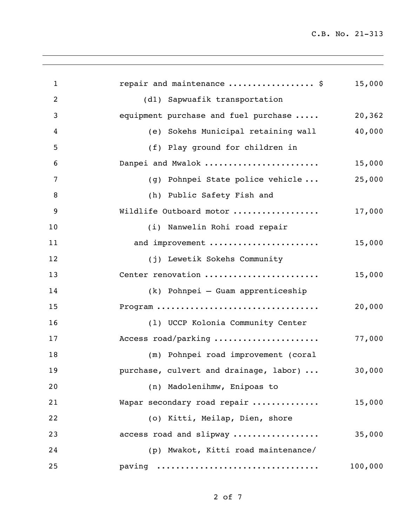C.B. No. 21-313

| $\mathbf{1}$   | repair and maintenance  \$             | 15,000  |
|----------------|----------------------------------------|---------|
| $\overline{2}$ | (dl) Sapwuafik transportation          |         |
| 3              | equipment purchase and fuel purchase   | 20,362  |
| 4              | (e) Sokehs Municipal retaining wall    | 40,000  |
| 5              | (f) Play ground for children in        |         |
| 6              | Danpei and Mwalok                      | 15,000  |
| 7              | (g) Pohnpei State police vehicle       | 25,000  |
| 8              | (h) Public Safety Fish and             |         |
| 9              | Wildlife Outboard motor                | 17,000  |
| 10             | (i) Nanwelin Rohi road repair          |         |
| 11             | and improvement                        | 15,000  |
| 12             | (j) Lewetik Sokehs Community           |         |
| 13             | Center renovation                      | 15,000  |
| 14             | (k) Pohnpei - Guam apprenticeship      |         |
| 15             | Program                                | 20,000  |
| 16             | (1) UCCP Kolonia Community Center      |         |
| 17             | Access road/parking                    | 77,000  |
| 18             | (m) Pohnpei road improvement (coral    |         |
| 19             | purchase, culvert and drainage, labor) | 30,000  |
| 20             | (n) Madolenihmw, Enipoas to            |         |
| 21             | Wapar secondary road repair            | 15,000  |
| 22             | (o) Kitti, Meilap, Dien, shore         |         |
| 23             | access road and slipway                | 35,000  |
| 24             | (p) Mwakot, Kitti road maintenance/    |         |
| 25             | paving                                 | 100,000 |
|                |                                        |         |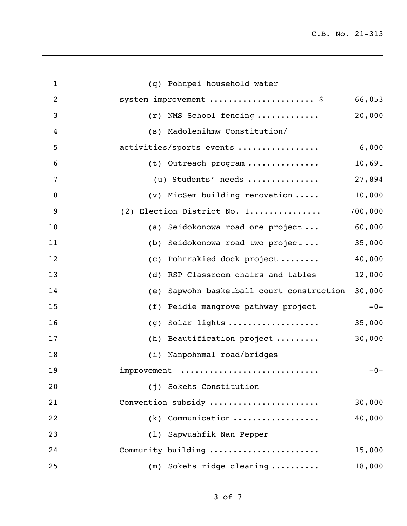C.B. No. 21-313

| (q) Pohnpei household water                  |         |
|----------------------------------------------|---------|
| system improvement  \$                       | 66,053  |
| NMS School fencing<br>(r)                    | 20,000  |
| Madolenihmw Constitution/<br>(S)             |         |
| activities/sports events                     | 6,000   |
| (t) Outreach program                         | 10,691  |
| (u) Students' needs                          | 27,894  |
| $(v)$ MicSem building renovation             | 10,000  |
| (2) Election District No. 1                  | 700,000 |
| Seidokonowa road one project<br>(a)          | 60,000  |
| Seidokonowa road two project<br>(b)          | 35,000  |
| Pohnrakied dock project<br>(C)               | 40,000  |
| RSP Classroom chairs and tables<br>(d)       | 12,000  |
| Sapwohn basketball court construction<br>(e) | 30,000  |
| Peidie mangrove pathway project<br>(f)       | $-0-$   |
| Solar lights<br>(g)                          | 35,000  |
| Beautification project<br>(h)                | 30,000  |
| (i) Nanpohnmal road/bridges                  |         |
| improvement                                  | $-0-$   |
| (j) Sokehs Constitution                      |         |
| Convention subsidy                           | 30,000  |
| $(k)$ Communication                          | 40,000  |
| (1) Sapwuahfik Nan Pepper                    |         |
| Community building                           | 15,000  |
| $(m)$ Sokehs ridge cleaning                  | 18,000  |
|                                              |         |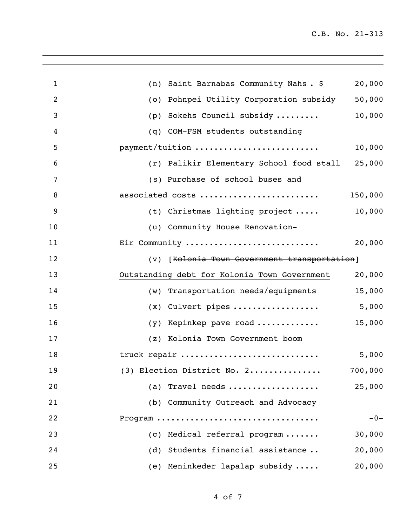| $\mathbf{1}$   | Saint Barnabas Community Nahs. \$<br>(n)     | 20,000  |
|----------------|----------------------------------------------|---------|
| $\overline{2}$ | Pohnpei Utility Corporation subsidy<br>(0)   | 50,000  |
| 3              | Sokehs Council subsidy<br>(p)                | 10,000  |
| 4              | (q) COM-FSM students outstanding             |         |
| 5              | payment/tuition                              | 10,000  |
| 6              | (r) Palikir Elementary School food stall     | 25,000  |
| 7              | (s) Purchase of school buses and             |         |
| 8              | associated costs                             | 150,000 |
| 9              | (t) Christmas lighting project               | 10,000  |
| 10             | (u) Community House Renovation-              |         |
| 11             | Eir Community                                | 20,000  |
| 12             | (v) [Kolonia Town Government transportation] |         |
| 13             | Outstanding debt for Kolonia Town Government | 20,000  |
| 14             | (w) Transportation needs/equipments          | 15,000  |
| 15             | Culvert pipes<br>(x)                         | 5,000   |
| 16             | Kepinkep pave road<br>(y)                    | 15,000  |
| 17             | (z) Kolonia Town Government boom             |         |
| 18             | truck repair                                 | 5,000   |
| 19             | $(3)$ Election District No. 2                | 700,000 |
| 20             | (a) Travel needs                             | 25,000  |
| 21             | (b) Community Outreach and Advocacy          |         |
| 22             | Program                                      | $-0-$   |
| 23             | (c) Medical referral program                 | 30,000  |
| 24             | (d) Students financial assistance            | 20,000  |
| 25             | (e) Meninkeder lapalap subsidy               | 20,000  |
|                |                                              |         |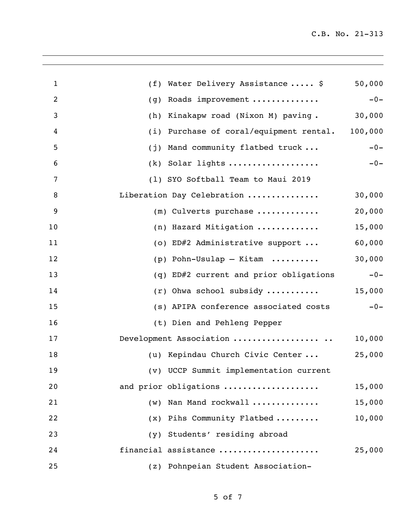| $\mathbf{1}$   | Water Delivery Assistance  \$<br>(f)       | 50,000  |
|----------------|--------------------------------------------|---------|
| $\overline{2}$ | Roads improvement<br>(g)                   | $-0-$   |
| 3              | Kinakapw road (Nixon M) paving.<br>(h)     | 30,000  |
| 4              | Purchase of coral/equipment rental.<br>(i) | 100,000 |
| 5              | Mand community flatbed truck<br>(j)        | $-0-$   |
| 6              | $(k)$ Solar lights                         | $-0-$   |
| 7              | (1) SYO Softball Team to Maui 2019         |         |
| 8              | Liberation Day Celebration                 | 30,000  |
| 9              | $(m)$ Culverts purchase                    | 20,000  |
| 10             | (n) Hazard Mitigation                      | 15,000  |
| 11             | (o) ED#2 Administrative support            | 60,000  |
| 12             | $(p)$ Pohn-Usulap - Kitam                  | 30,000  |
| 13             | (q) ED#2 current and prior obligations     | $-0-$   |
| 14             | $(r)$ Ohwa school subsidy                  | 15,000  |
| 15             | (s) APIPA conference associated costs      | $-0-$   |
| 16             | (t) Dien and Pehleng Pepper                |         |
| 17             | Development Association                    | 10,000  |
| 18             | (u) Kepindau Church Civic Center           | 25,000  |
| 19             | (v) UCCP Summit implementation current     |         |
| 20             | and prior obligations                      | 15,000  |
| 21             | Nan Mand rockwall<br>(w)                   | 15,000  |
| 22             | (x) Pihs Community Flatbed                 | 10,000  |
| 23             | Students' residing abroad<br>(y)           |         |
| 24             | financial assistance                       | 25,000  |
| 25             | (z) Pohnpeian Student Association-         |         |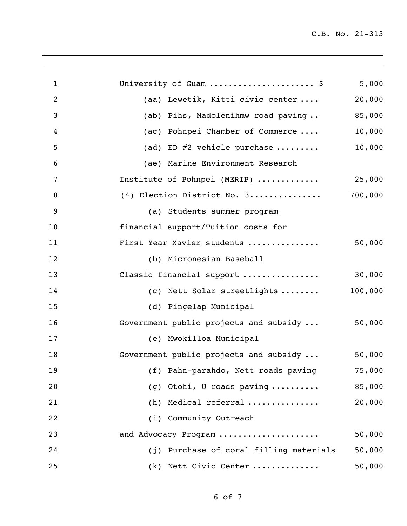C.B. No. 21-313

| $\mathbf{1}$   | University of Guam  \$                  | 5,000   |
|----------------|-----------------------------------------|---------|
| 2              | (aa) Lewetik, Kitti civic center        | 20,000  |
| 3              | (ab) Pihs, Madolenihmw road paving      | 85,000  |
| 4              | (ac) Pohnpei Chamber of Commerce        | 10,000  |
| 5              | (ad) ED $#2$ vehicle purchase           | 10,000  |
| 6              | (ae) Marine Environment Research        |         |
| $\overline{7}$ | Institute of Pohnpei (MERIP)            | 25,000  |
| 8              | (4) Election District No. 3             | 700,000 |
| 9              | (a) Students summer program             |         |
| 10             | financial support/Tuition costs for     |         |
| 11             | First Year Xavier students              | 50,000  |
| 12             | (b) Micronesian Baseball                |         |
| 13             | Classic financial support               | 30,000  |
| 14             | (c) Nett Solar streetlights             | 100,000 |
| 15             | (d) Pingelap Municipal                  |         |
| 16             | Government public projects and subsidy  | 50,000  |
| 17             | (e) Mwokilloa Municipal                 |         |
| 18             | Government public projects and subsidy  | 50,000  |
| 19             | (f) Pahn-parahdo, Nett roads paving     | 75,000  |
| 20             | (g) Otohi, U roads paving               | 85,000  |
| 21             | (h) Medical referral                    | 20,000  |
| 22             | (i) Community Outreach                  |         |
| 23             | and Advocacy Program                    | 50,000  |
| 24             | (j) Purchase of coral filling materials | 50,000  |
| 25             | (k) Nett Civic Center                   | 50,000  |
|                |                                         |         |